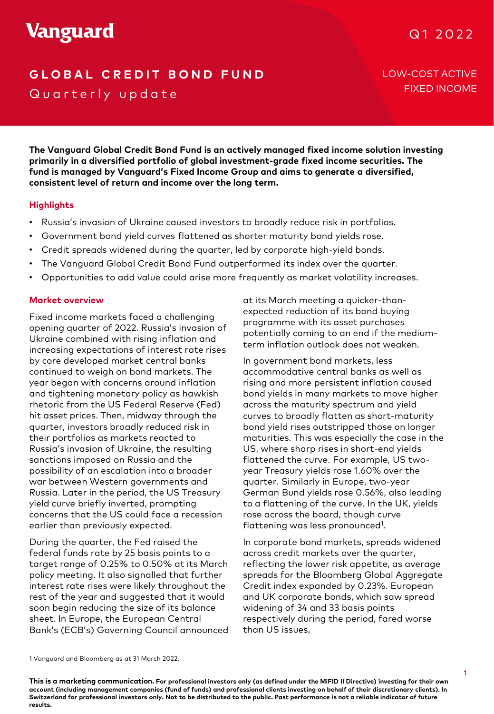# **GLOBAL CREDIT BOND FUND** LOW-COST ACTIVE Quarterly update

FIXED INCOME

**The Vanguard Global Credit Bond Fund is an actively managed fixed income solution investing primarily in a diversified portfolio of global investment-grade fixed income securities. The fund is managed by Vanguard's Fixed Income Group and aims to generate a diversified, consistent level of return and income over the long term.**

# **Highlights**

- Russia's invasion of Ukraine caused investors to broadly reduce risk in portfolios.
- Government bond yield curves flattened as shorter maturity bond yields rose.
- Credit spreads widened during the quarter, led by corporate high-yield bonds.
- The Vanguard Global Credit Bond Fund outperformed its index over the quarter.
- Opportunities to add value could arise more frequently as market volatility increases.

## **Market overview**

2019 and tightening monetary policy as hawkish Fixed income markets faced a challenging opening quarter of 2022. Russia's invasion of Ukraine combined with rising inflation and increasing expectations of interest rate rises by core developed market central banks continued to weigh on bond markets. The year began with concerns around inflation rhetoric from the US Federal Reserve (Fed) hit asset prices. Then, midway through the quarter, investors broadly reduced risk in their portfolios as markets reacted to Russia's invasion of Ukraine, the resulting sanctions imposed on Russia and the possibility of an escalation into a broader war between Western governments and Russia. Later in the period, the US Treasury yield curve briefly inverted, prompting concerns that the US could face a recession earlier than previously expected.

During the quarter, the Fed raised the federal funds rate by 25 basis points to a target range of 0.25% to 0.50% at its March policy meeting. It also signalled that further interest rate rises were likely throughout the rest of the year and suggested that it would soon begin reducing the size of its balance sheet. In Europe, the European Central Bank's (ECB's) Governing Council announced at its March meeting a quicker-thanexpected reduction of its bond buying programme with its asset purchases potentially coming to an end if the mediumterm inflation outlook does not weaken.

et central banks in in government bond markets, less<br>ond markets. The accommodative central banks as well as In government bond markets, less rising and more persistent inflation caused bond yields in many markets to move higher across the maturity spectrum and yield curves to broadly flatten as short-maturity bond yield rises outstripped those on longer maturities. This was especially the case in the US, where sharp rises in short-end yields flattened the curve. For example, US twoyear Treasury yields rose 1.60% over the quarter. Similarly in Europe, two-year German Bund yields rose 0.56%, also leading to a flattening of the curve. In the UK, yields rose across the board, though curve flattening was less pronounced<sup>1</sup>.

> In corporate bond markets, spreads widened across credit markets over the quarter, reflecting the lower risk appetite, as average spreads for the Bloomberg Global Aggregate Credit index expanded by 0.23%. European and UK corporate bonds, which saw spread widening of 34 and 33 basis points respectively during the period, fared worse than US issues,

1 Vanguard and Bloomberg as at 31 March 2022.

**This is a marketing communication. For professional investors only (as defined under the MiFID II Directive) investing for their own account (including management companies (fund of funds) and professional clients investing on behalf of their discretionary clients). In Switzerland for professional investors only. Not to be distributed to the public. Past performance is not a reliable indicator of future results.**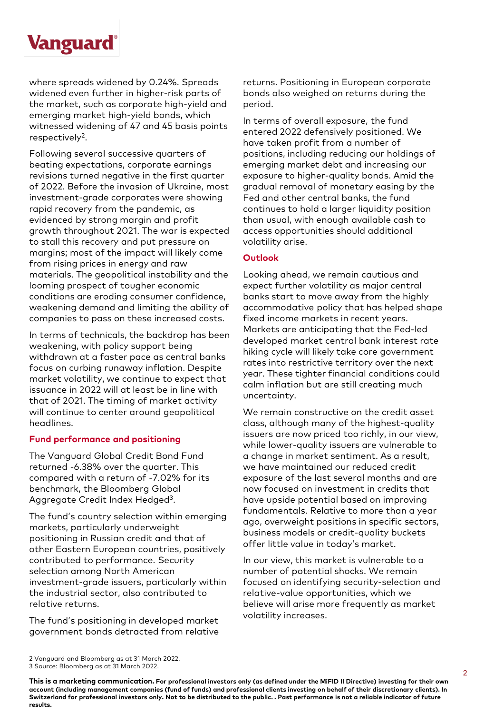

where spreads widened by 0.24%. Spreads widened even further in higher-risk parts of the market, such as corporate high-yield and emerging market high-yield bonds, which witnessed widening of 47 and 45 basis points respectively<sup>2</sup>.

Following several successive quarters of beating expectations, corporate earnings revisions turned negative in the first quarter of 2022. Before the invasion of Ukraine, most investment-grade corporates were showing rapid recovery from the pandemic, as evidenced by strong margin and profit growth throughout 2021. The war is expected to stall this recovery and put pressure on margins; most of the impact will likely come from rising prices in energy and raw materials. The geopolitical instability and the looming prospect of tougher economic conditions are eroding consumer confidence, weakening demand and limiting the ability of companies to pass on these increased costs.

In terms of technicals, the backdrop has been weakening, with policy support being withdrawn at a faster pace as central banks focus on curbing runaway inflation. Despite market volatility, we continue to expect that issuance in 2022 will at least be in line with that of 2021. The timing of market activity will continue to center around geopolitical headlines.

## **Fund performance and positioning**

The Vanguard Global Credit Bond Fund returned -6.38% over the quarter. This compared with a return of -7.02% for its benchmark, the Bloomberg Global Aggregate Credit Index Hedged3.

The fund's country selection within emerging markets, particularly underweight positioning in Russian credit and that of other Eastern European countries, positively contributed to performance. Security selection among North American investment-grade issuers, particularly within the industrial sector, also contributed to relative returns.

The fund's positioning in developed market government bonds detracted from relative

returns. Positioning in European corporate bonds also weighed on returns during the period.

In terms of overall exposure, the fund entered 2022 defensively positioned. We have taken profit from a number of positions, including reducing our holdings of emerging market debt and increasing our exposure to higher-quality bonds. Amid the gradual removal of monetary easing by the Fed and other central banks, the fund continues to hold a larger liquidity position than usual, with enough available cash to access opportunities should additional volatility arise.

# **Outlook**

Looking ahead, we remain cautious and expect further volatility as major central banks start to move away from the highly accommodative policy that has helped shape fixed income markets in recent years. Markets are anticipating that the Fed-led developed market central bank interest rate hiking cycle will likely take core government rates into restrictive territory over the next year. These tighter financial conditions could calm inflation but are still creating much uncertainty.

We remain constructive on the credit asset class, although many of the highest-quality issuers are now priced too richly, in our view, while lower-quality issuers are vulnerable to a change in market sentiment. As a result, we have maintained our reduced credit exposure of the last several months and are now focused on investment in credits that have upside potential based on improving fundamentals. Relative to more than a year ago, overweight positions in specific sectors, business models or credit-quality buckets offer little value in today's market.

In our view, this market is vulnerable to a number of potential shocks. We remain focused on identifying security-selection and relative-value opportunities, which we believe will arise more frequently as market volatility increases.

**This is a marketing communication. For professional investors only (as defined under the MiFID II Directive) investing for their own account (including management companies (fund of funds) and professional clients investing on behalf of their discretionary clients). In Switzerland for professional investors only. Not to be distributed to the public. . Past performance is not a reliable indicator of future results.**

<sup>2</sup> Vanguard and Bloomberg as at 31 March 2022.

<sup>3</sup> Source: Bloomberg as at 31 March 2022.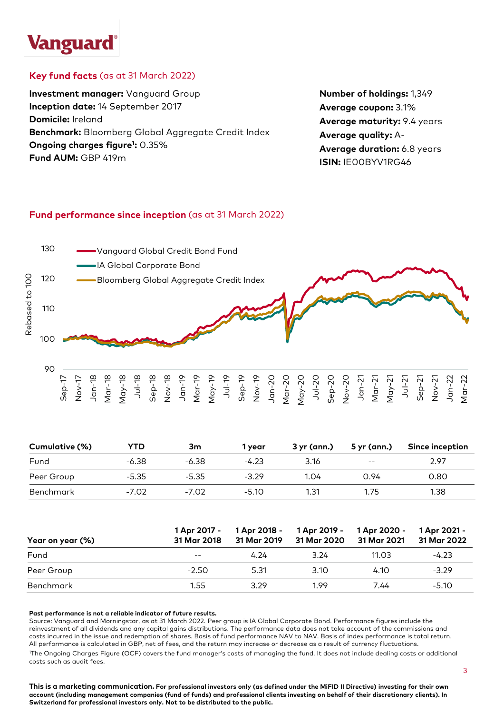# **Vanguard**

# **Key fund facts** (as at 31 March 2022)

**Investment manager:** Vanguard Group **Inception date:** 14 September 2017 **Domicile:** Ireland **Benchmark:** Bloomberg Global Aggregate Credit Index **Ongoing charges figure1 :** 0.35% **Fund AUM:** GBP 419m

**Number of holdings:** 1,349 **Average coupon:** 3.1% **Average maturity:** 9.4 years **Average quality:** A-**Average duration:** 6.8 years **ISIN:** IE00BYV1RG46

# **Fund performance since inception** (as at 31 March 2022)



| Cumulative (%) | YTD     | 3m      | 1 vear  | 3 yr (ann.) | 5 yr (ann.)              | Since inception |
|----------------|---------|---------|---------|-------------|--------------------------|-----------------|
| Fund           | $-6.38$ | $-6.38$ | $-4.23$ | 3.16        | $\overline{\phantom{m}}$ | 2.97            |
| Peer Group     | $-5.35$ | $-5.35$ | $-3.29$ | 1.04        | 0.94                     | 0.80            |
| Benchmark      | $-7.02$ | $-7.02$ | $-5.10$ | 1.31        | 1.75                     | 1.38            |

| Year on year (%) | 1 Apr 2017 -<br>31 Mar 2018 | 1 Apr 2018 -<br>31 Mar 2019 | 1 Apr 2019 -<br>31 Mar 2020 | 1 Apr 2020 -<br>31 Mar 2021 | 1 Apr 2021 -<br>31 Mar 2022 |
|------------------|-----------------------------|-----------------------------|-----------------------------|-----------------------------|-----------------------------|
| Fund             | $- -$                       | 4.24                        | 3.24                        | 11.03                       | $-4.23$                     |
| Peer Group       | $-2.50$                     | 5.31                        | 3.10                        | 4.10                        | $-3.29$                     |
| Benchmark        | 1.55                        | 3.29                        | 199                         | 7.44                        | $-5.10$                     |

#### **Past performance is not a reliable indicator of future results.**

Source: Vanguard and Morningstar, as at 31 March 2022. Peer group is IA Global Corporate Bond. Performance figures include the reinvestment of all dividends and any capital gains distributions. The performance data does not take account of the commissions and costs incurred in the issue and redemption of shares. Basis of fund performance NAV to NAV. Basis of index performance is total return. All performance is calculated in GBP, net of fees, and the return may increase or decrease as a result of currency fluctuations. 1 The Ongoing Charges Figure (OCF) covers the fund manager's costs of managing the fund. It does not include dealing costs or additional costs such as audit fees.

**This is a marketing communication. For professional investors only (as defined under the MiFID II Directive) investing for their own account (including management companies (fund of funds) and professional clients investing on behalf of their discretionary clients). In Switzerland for professional investors only. Not to be distributed to the public.**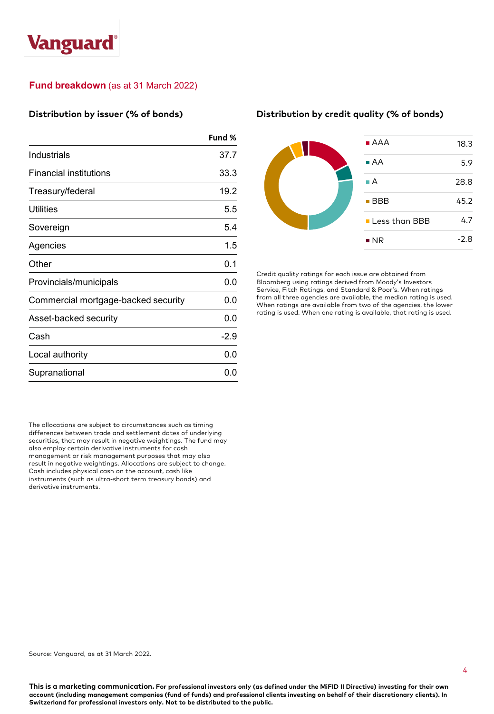# **Vanguard**

# **Fund breakdown** (as at 31 March 2022)

## **Distribution by issuer (% of bonds)**

|                                     | Fund % |
|-------------------------------------|--------|
| Industrials                         | 37.7   |
| Financial institutions              | 33.3   |
| Treasury/federal                    | 19.2   |
| Utilities                           | 5.5    |
| Sovereign                           | 5.4    |
| Agencies                            | 1.5    |
| Other                               | 0.1    |
| Provincials/municipals              | 0.0    |
| Commercial mortgage-backed security | 0.0    |
| Asset-backed security               | 0.0    |
| Cash                                | $-2.9$ |
| Local authority                     | 0.0    |
| Supranational                       | 0.0    |

The allocations are subject to circumstances such as timing differences between trade and settlement dates of underlying securities, that may result in negative weightings. The fund may also employ certain derivative instruments for cash management or risk management purposes that may also result in negative weightings. Allocations are subject to change. Cash includes physical cash on the account, cash like instruments (such as ultra-short term treasury bonds) and derivative instruments.

#### **Distribution by credit quality (% of bonds)**



Credit quality ratings for each issue are obtained from Bloomberg using ratings derived from Moody's Investors Service, Fitch Ratings, and Standard & Poor's. When ratings from all three agencies are available, the median rating is used. When ratings are available from two of the agencies, the lower rating is used. When one rating is available, that rating is used.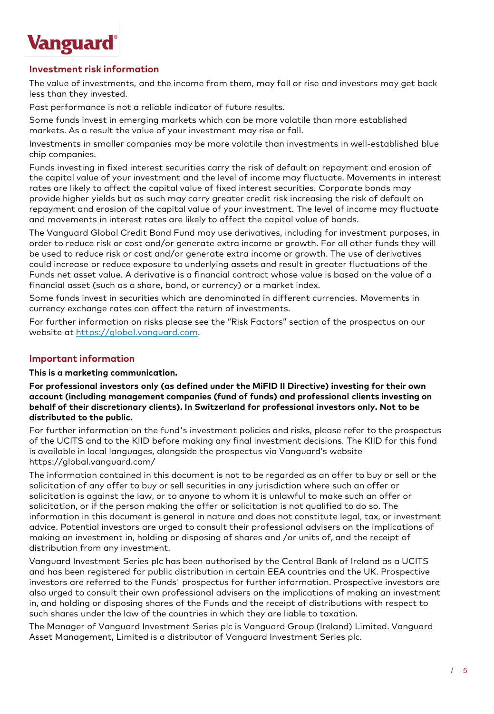

# **Investment risk information**

The value of investments, and the income from them, may fall or rise and investors may get back less than they invested.

Past performance is not a reliable indicator of future results.

Some funds invest in emerging markets which can be more volatile than more established markets. As a result the value of your investment may rise or fall.

Investments in smaller companies may be more volatile than investments in well-established blue chip companies.

Funds investing in fixed interest securities carry the risk of default on repayment and erosion of the capital value of your investment and the level of income may fluctuate. Movements in interest rates are likely to affect the capital value of fixed interest securities. Corporate bonds may provide higher yields but as such may carry greater credit risk increasing the risk of default on repayment and erosion of the capital value of your investment. The level of income may fluctuate and movements in interest rates are likely to affect the capital value of bonds.

The Vanguard Global Credit Bond Fund may use derivatives, including for investment purposes, in order to reduce risk or cost and/or generate extra income or growth. For all other funds they will be used to reduce risk or cost and/or generate extra income or growth. The use of derivatives could increase or reduce exposure to underlying assets and result in greater fluctuations of the Funds net asset value. A derivative is a financial contract whose value is based on the value of a financial asset (such as a share, bond, or currency) or a market index.

Some funds invest in securities which are denominated in different currencies. Movements in currency exchange rates can affect the return of investments.

For further information on risks please see the "Risk Factors" section of the prospectus on our website at [https://global.vanguard.com](https://global.vanguard.com/).

# **Important information**

**This is a marketing communication.**

**For professional investors only (as defined under the MiFID II Directive) investing for their own account (including management companies (fund of funds) and professional clients investing on behalf of their discretionary clients). In Switzerland for professional investors only. Not to be distributed to the public.**

For further information on the fund's investment policies and risks, please refer to the prospectus of the UCITS and to the KIID before making any final investment decisions. The KIID for this fund is available in local languages, alongside the prospectus via Vanguard's website https://global.vanguard.com/

The information contained in this document is not to be regarded as an offer to buy or sell or the solicitation of any offer to buy or sell securities in any jurisdiction where such an offer or solicitation is against the law, or to anyone to whom it is unlawful to make such an offer or solicitation, or if the person making the offer or solicitation is not qualified to do so. The information in this document is general in nature and does not constitute legal, tax, or investment advice. Potential investors are urged to consult their professional advisers on the implications of making an investment in, holding or disposing of shares and /or units of, and the receipt of distribution from any investment.

Vanguard Investment Series plc has been authorised by the Central Bank of Ireland as a UCITS and has been registered for public distribution in certain EEA countries and the UK. Prospective investors are referred to the Funds' prospectus for further information. Prospective investors are also urged to consult their own professional advisers on the implications of making an investment in, and holding or disposing shares of the Funds and the receipt of distributions with respect to such shares under the law of the countries in which they are liable to taxation.

The Manager of Vanguard Investment Series plc is Vanguard Group (Ireland) Limited. Vanguard Asset Management, Limited is a distributor of Vanguard Investment Series plc.